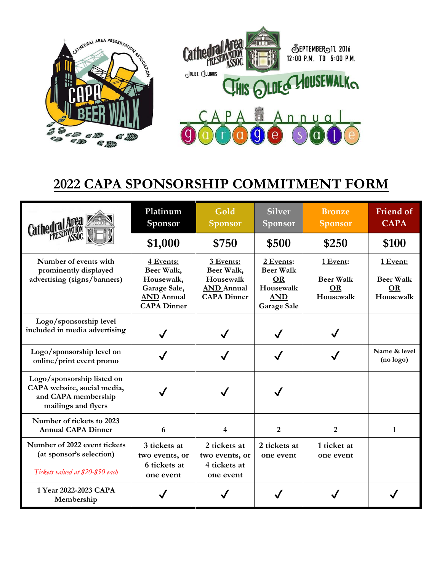

## **2022 CAPA SPONSORSHIP COMMITMENT FORM**

| Cathedral Area                                                                                          | Platinum<br>Sponsor                                                                              | Gold<br><b>Sponsor</b>                                                          | <b>Silver</b><br>Sponsor                                                                    | <b>Bronze</b><br><b>Sponsor</b>                        | <b>Friend of</b><br><b>CAPA</b>                        |
|---------------------------------------------------------------------------------------------------------|--------------------------------------------------------------------------------------------------|---------------------------------------------------------------------------------|---------------------------------------------------------------------------------------------|--------------------------------------------------------|--------------------------------------------------------|
|                                                                                                         | \$1,000                                                                                          | \$750                                                                           | \$500                                                                                       | \$250                                                  | \$100                                                  |
| Number of events with<br>prominently displayed<br>advertising (signs/banners)                           | 4 Events:<br>Beer Walk,<br>Housewalk,<br>Garage Sale,<br><b>AND</b> Annual<br><b>CAPA Dinner</b> | 3 Events:<br>Beer Walk,<br>Housewalk<br><b>AND</b> Annual<br><b>CAPA Dinner</b> | 2 Events:<br><b>Beer Walk</b><br><b>OR</b><br>Housewalk<br><b>AND</b><br><b>Garage Sale</b> | 1 Event:<br><b>Beer Walk</b><br><b>OR</b><br>Housewalk | 1 Event:<br><b>Beer Walk</b><br><b>OR</b><br>Housewalk |
| Logo/sponsorship level<br>included in media advertising                                                 | $\checkmark$                                                                                     |                                                                                 |                                                                                             |                                                        |                                                        |
| Logo/sponsorship level on<br>online/print event promo                                                   |                                                                                                  |                                                                                 |                                                                                             |                                                        | Name & level<br>(no logo)                              |
| Logo/sponsorship listed on<br>CAPA website, social media,<br>and CAPA membership<br>mailings and flyers |                                                                                                  |                                                                                 |                                                                                             |                                                        |                                                        |
| Number of tickets to 2023<br><b>Annual CAPA Dinner</b>                                                  | 6                                                                                                | 4                                                                               | $\overline{2}$                                                                              | $\overline{2}$                                         | 1                                                      |
| Number of 2022 event tickets<br>(at sponsor's selection)<br>Tickets valued at \$20-\$50 each            | 3 tickets at<br>two events, or<br>6 tickets at<br>one event                                      | 2 tickets at<br>two events, or<br>4 tickets at<br>one event                     | 2 tickets at<br>one event                                                                   | 1 ticket at<br>one event                               |                                                        |
| 1 Year 2022-2023 CAPA<br>Membership                                                                     |                                                                                                  |                                                                                 |                                                                                             |                                                        |                                                        |